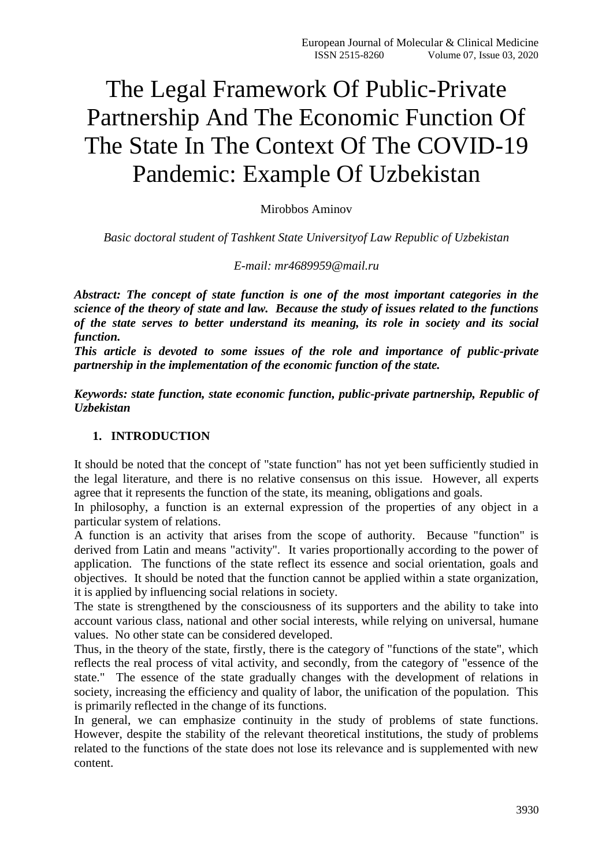# The Legal Framework Of Public-Private Partnership And The Economic Function Of The State In The Context Of The COVID-19 Pandemic: Example Of Uzbekistan

Mirobbos Aminov

*Basic doctoral student of Tashkent State Universityof Law Republic of Uzbekistan*

*E-mail: mr4689959@mail.ru*

*Abstract: The concept of state function is one of the most important categories in the science of the theory of state and law. Because the study of issues related to the functions of the state serves to better understand its meaning, its role in society and its social function.*

*This article is devoted to some issues of the role and importance of public-private partnership in the implementation of the economic function of the state.*

*Keywords: state function, state economic function, public-private partnership, Republic of Uzbekistan*

#### **1. INTRODUCTION**

It should be noted that the concept of "state function" has not yet been sufficiently studied in the legal literature, and there is no relative consensus on this issue. However, all experts agree that it represents the function of the state, its meaning, obligations and goals.

In philosophy, a function is an external expression of the properties of any object in a particular system of relations.

A function is an activity that arises from the scope of authority. Because "function" is derived from Latin and means "activity". It varies proportionally according to the power of application. The functions of the state reflect its essence and social orientation, goals and objectives. It should be noted that the function cannot be applied within a state organization, it is applied by influencing social relations in society.

The state is strengthened by the consciousness of its supporters and the ability to take into account various class, national and other social interests, while relying on universal, humane values. No other state can be considered developed.

Thus, in the theory of the state, firstly, there is the category of "functions of the state", which reflects the real process of vital activity, and secondly, from the category of "essence of the state." The essence of the state gradually changes with the development of relations in society, increasing the efficiency and quality of labor, the unification of the population. This is primarily reflected in the change of its functions.

In general, we can emphasize continuity in the study of problems of state functions. However, despite the stability of the relevant theoretical institutions, the study of problems related to the functions of the state does not lose its relevance and is supplemented with new content.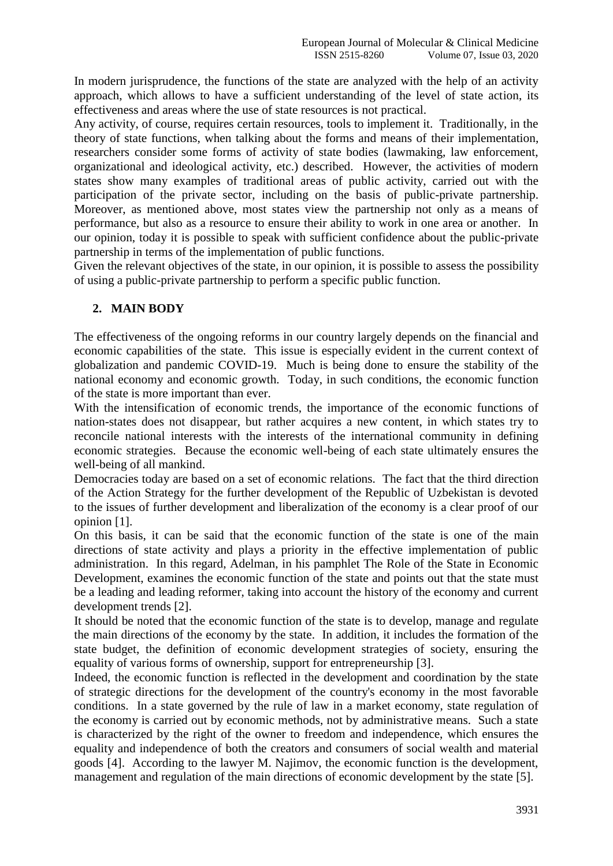In modern jurisprudence, the functions of the state are analyzed with the help of an activity approach, which allows to have a sufficient understanding of the level of state action, its effectiveness and areas where the use of state resources is not practical.

Any activity, of course, requires certain resources, tools to implement it. Traditionally, in the theory of state functions, when talking about the forms and means of their implementation, researchers consider some forms of activity of state bodies (lawmaking, law enforcement, organizational and ideological activity, etc.) described. However, the activities of modern states show many examples of traditional areas of public activity, carried out with the participation of the private sector, including on the basis of public-private partnership. Moreover, as mentioned above, most states view the partnership not only as a means of performance, but also as a resource to ensure their ability to work in one area or another. In our opinion, today it is possible to speak with sufficient confidence about the public-private partnership in terms of the implementation of public functions.

Given the relevant objectives of the state, in our opinion, it is possible to assess the possibility of using a public-private partnership to perform a specific public function.

## **2. MAIN BODY**

The effectiveness of the ongoing reforms in our country largely depends on the financial and economic capabilities of the state. This issue is especially evident in the current context of globalization and pandemic COVID-19. Much is being done to ensure the stability of the national economy and economic growth. Today, in such conditions, the economic function of the state is more important than ever.

With the intensification of economic trends, the importance of the economic functions of nation-states does not disappear, but rather acquires a new content, in which states try to reconcile national interests with the interests of the international community in defining economic strategies. Because the economic well-being of each state ultimately ensures the well-being of all mankind.

Democracies today are based on a set of economic relations. The fact that the third direction of the Action Strategy for the further development of the Republic of Uzbekistan is devoted to the issues of further development and liberalization of the economy is a clear proof of our opinion [1].

On this basis, it can be said that the economic function of the state is one of the main directions of state activity and plays a priority in the effective implementation of public administration. In this regard, Adelman, in his pamphlet The Role of the State in Economic Development, examines the economic function of the state and points out that the state must be a leading and leading reformer, taking into account the history of the economy and current development trends [2].

It should be noted that the economic function of the state is to develop, manage and regulate the main directions of the economy by the state. In addition, it includes the formation of the state budget, the definition of economic development strategies of society, ensuring the equality of various forms of ownership, support for entrepreneurship [3].

Indeed, the economic function is reflected in the development and coordination by the state of strategic directions for the development of the country's economy in the most favorable conditions. In a state governed by the rule of law in a market economy, state regulation of the economy is carried out by economic methods, not by administrative means. Such a state is characterized by the right of the owner to freedom and independence, which ensures the equality and independence of both the creators and consumers of social wealth and material goods [4]. According to the lawyer M. Najimov, the economic function is the development, management and regulation of the main directions of economic development by the state [5].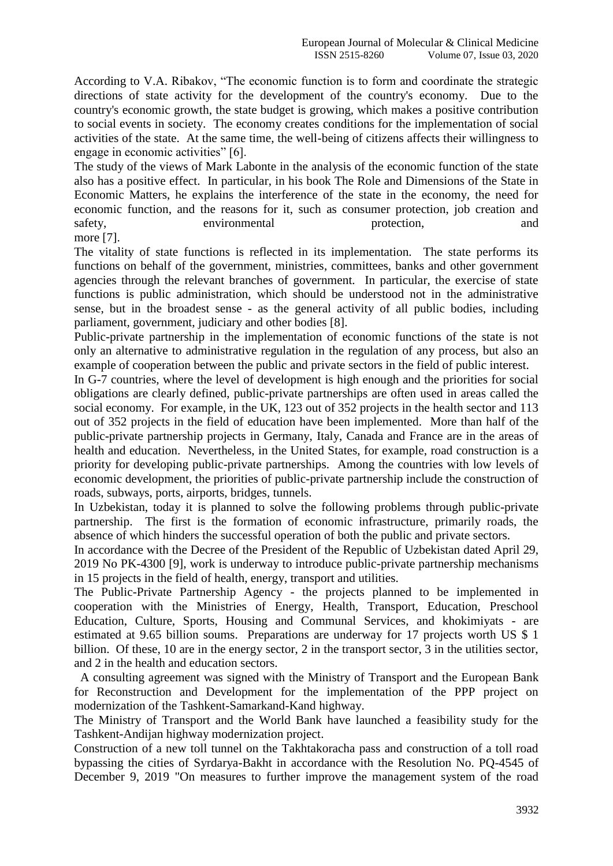According to V.A. Ribakov, "The economic function is to form and coordinate the strategic directions of state activity for the development of the country's economy. Due to the country's economic growth, the state budget is growing, which makes a positive contribution to social events in society. The economy creates conditions for the implementation of social activities of the state. At the same time, the well-being of citizens affects their willingness to engage in economic activities" [6].

The study of the views of Mark Labonte in the analysis of the economic function of the state also has a positive effect. In particular, in his book The Role and Dimensions of the State in Economic Matters, he explains the interference of the state in the economy, the need for economic function, and the reasons for it, such as consumer protection, job creation and safety, environmental protection, and and

more [7].

The vitality of state functions is reflected in its implementation. The state performs its functions on behalf of the government, ministries, committees, banks and other government agencies through the relevant branches of government. In particular, the exercise of state functions is public administration, which should be understood not in the administrative sense, but in the broadest sense - as the general activity of all public bodies, including parliament, government, judiciary and other bodies [8].

Public-private partnership in the implementation of economic functions of the state is not only an alternative to administrative regulation in the regulation of any process, but also an example of cooperation between the public and private sectors in the field of public interest.

In G-7 countries, where the level of development is high enough and the priorities for social obligations are clearly defined, public-private partnerships are often used in areas called the social economy. For example, in the UK, 123 out of 352 projects in the health sector and 113 out of 352 projects in the field of education have been implemented. More than half of the public-private partnership projects in Germany, Italy, Canada and France are in the areas of health and education. Nevertheless, in the United States, for example, road construction is a priority for developing public-private partnerships. Among the countries with low levels of economic development, the priorities of public-private partnership include the construction of roads, subways, ports, airports, bridges, tunnels.

In Uzbekistan, today it is planned to solve the following problems through public-private partnership. The first is the formation of economic infrastructure, primarily roads, the absence of which hinders the successful operation of both the public and private sectors.

In accordance with the Decree of the President of the Republic of Uzbekistan dated April 29, 2019 No PK-4300 [9], work is underway to introduce public-private partnership mechanisms in 15 projects in the field of health, energy, transport and utilities.

The Public-Private Partnership Agency - the projects planned to be implemented in cooperation with the Ministries of Energy, Health, Transport, Education, Preschool Education, Culture, Sports, Housing and Communal Services, and khokimiyats - are estimated at 9.65 billion soums. Preparations are underway for 17 projects worth US \$ 1 billion. Of these, 10 are in the energy sector, 2 in the transport sector, 3 in the utilities sector, and 2 in the health and education sectors.

 A consulting agreement was signed with the Ministry of Transport and the European Bank for Reconstruction and Development for the implementation of the PPP project on modernization of the Tashkent-Samarkand-Kand highway.

The Ministry of Transport and the World Bank have launched a feasibility study for the Tashkent-Andijan highway modernization project.

Construction of a new toll tunnel on the Takhtakoracha pass and construction of a toll road bypassing the cities of Syrdarya-Bakht in accordance with the Resolution No. PQ-4545 of December 9, 2019 "On measures to further improve the management system of the road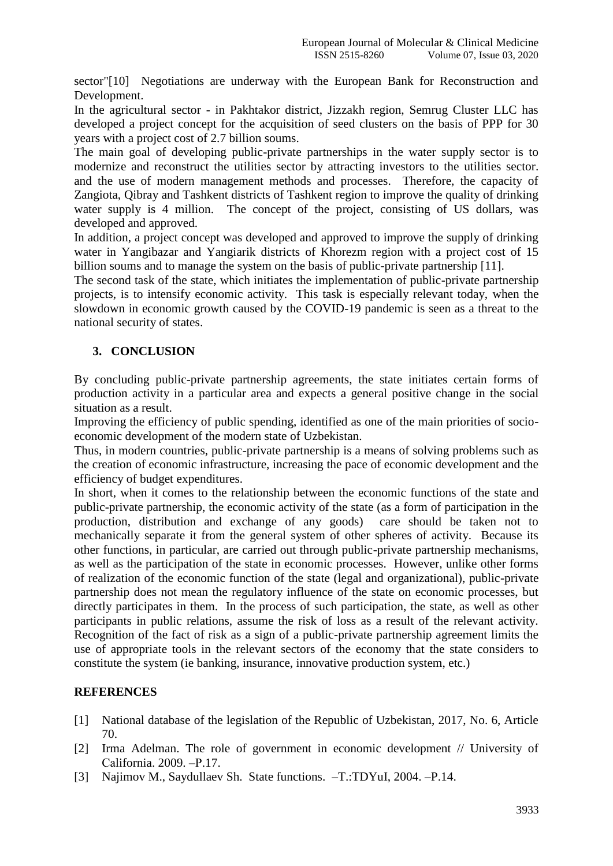sector"[10] Negotiations are underway with the European Bank for Reconstruction and Development.

In the agricultural sector - in Pakhtakor district, Jizzakh region, Semrug Cluster LLC has developed a project concept for the acquisition of seed clusters on the basis of PPP for 30 years with a project cost of 2.7 billion soums.

The main goal of developing public-private partnerships in the water supply sector is to modernize and reconstruct the utilities sector by attracting investors to the utilities sector. and the use of modern management methods and processes. Therefore, the capacity of Zangiota, Qibray and Tashkent districts of Tashkent region to improve the quality of drinking water supply is 4 million. The concept of the project, consisting of US dollars, was developed and approved.

In addition, a project concept was developed and approved to improve the supply of drinking water in Yangibazar and Yangiarik districts of Khorezm region with a project cost of 15 billion soums and to manage the system on the basis of public-private partnership [11].

The second task of the state, which initiates the implementation of public-private partnership projects, is to intensify economic activity. This task is especially relevant today, when the slowdown in economic growth caused by the COVID-19 pandemic is seen as a threat to the national security of states.

## **3. CONCLUSION**

By concluding public-private partnership agreements, the state initiates certain forms of production activity in a particular area and expects a general positive change in the social situation as a result.

Improving the efficiency of public spending, identified as one of the main priorities of socioeconomic development of the modern state of Uzbekistan.

Thus, in modern countries, public-private partnership is a means of solving problems such as the creation of economic infrastructure, increasing the pace of economic development and the efficiency of budget expenditures.

In short, when it comes to the relationship between the economic functions of the state and public-private partnership, the economic activity of the state (as a form of participation in the production, distribution and exchange of any goods) care should be taken not to mechanically separate it from the general system of other spheres of activity. Because its other functions, in particular, are carried out through public-private partnership mechanisms, as well as the participation of the state in economic processes. However, unlike other forms of realization of the economic function of the state (legal and organizational), public-private partnership does not mean the regulatory influence of the state on economic processes, but directly participates in them. In the process of such participation, the state, as well as other participants in public relations, assume the risk of loss as a result of the relevant activity. Recognition of the fact of risk as a sign of a public-private partnership agreement limits the use of appropriate tools in the relevant sectors of the economy that the state considers to constitute the system (ie banking, insurance, innovative production system, etc.)

#### **REFERENCES**

- [1] National database of the legislation of the Republic of Uzbekistan, 2017, No. 6, Article 70.
- [2] Irma Adelman. The role of government in economic development // University of Саlifornia. 2009. –Р.17.
- [3] Najimov M., Saydullaev Sh. State functions. –T.:TDYuI, 2004. –P.14.